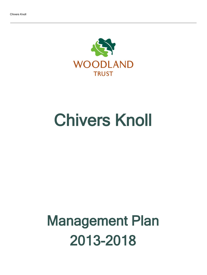

# Chivers Knoll

## Management Plan 2013-2018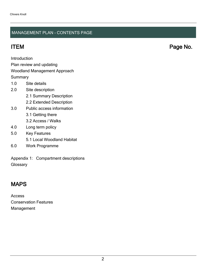#### MANAGEMENT PLAN - CONTENTS PAGE

**Introduction** 

Plan review and updating

#### Woodland Management Approach

**Summary** 

- 1.0 Site details
- 2.0 Site description
	- 2.1 Summary Description
	- 2.2 Extended Description
- 3.0 Public access information
	- 3.1 Getting there
	- 3.2 Access / Walks
- 4.0 Long term policy
- 5.0 Key Features
	- 5.1 Local Woodland Habitat
- 6.0 Work Programme

Appendix 1: Compartment descriptions **Glossary** 

## MAPS

Access Conservation Features Management

ITEM Page No.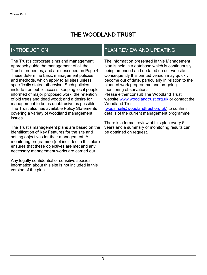## THE WOODLAND TRUST

## INTRODUCTION

The Trust's corporate aims and management approach guide the management of all the Trust's properties, and are described on Page 4. These determine basic management policies and methods, which apply to all sites unless specifically stated otherwise. Such policies include free public access; keeping local people informed of major proposed work; the retention of old trees and dead wood; and a desire for management to be as unobtrusive as possible. The Trust also has available Policy Statements covering a variety of woodland management issues.

The Trust's management plans are based on the identification of Key Features for the site and setting objectives for their management. A monitoring programme (not included in this plan) ensures that these objectives are met and any necessary management works are carried out.

Any legally confidential or sensitive species information about this site is not included in this version of the plan.

## PLAN REVIEW AND UPDATING

The information presented in this Management plan is held in a database which is continuously being amended and updated on our website. Consequently this printed version may quickly become out of date, particularly in relation to the planned work programme and on-going monitoring observations. Please either consult The Woodland Trust website [www.woodlandtrust.org.uk](http://www.woodlandtrust.org.uk/) or contact the Woodland Trust [\(wopsmail@woodlandtrust.org.uk](mailto:wopsmail@woodlandtrust.org.uk)) to confirm

details of the current management programme.

There is a formal review of this plan every 5 years and a summary of monitoring results can be obtained on request.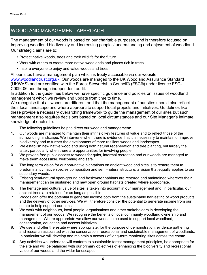## WOODLAND MANAGEMENT APPROACH

The management of our woods is based on our charitable purposes, and is therefore focused on improving woodland biodiversity and increasing peoples' understanding and enjoyment of woodland. Our strategic aims are to:

- Protect native woods, trees and their wildlife for the future
- Work with others to create more native woodlands and places rich in trees
- Inspire everyone to enjoy and value woods and trees

All our sites have a management plan which is freely accessible via our website [www.woodlandtrust.org.uk.](http://www.woodlandtrust.org.uk/) Our woods are managed to the UK Woodland Assurance Standard (UKWAS) and are certified with the Forest Stewardship Council® (FSC®) under licence FSC-C009406 and through independent audit.

In addition to the guidelines below we have specific guidance and policies on issues of woodland management which we review and update from time to time.

We recognise that all woods are different and that the management of our sites should also reflect their local landscape and where appropriate support local projects and initiatives. Guidelines like these provide a necessary overarching framework to guide the management of our sites but such management also requires decisions based on local circumstances and our Site Manager's intimate knowledge of each site.

The following guidelines help to direct our woodland management:

- 1. Our woods are managed to maintain their intrinsic key features of value and to reflect those of the surrounding landscape. We intervene when there is evidence that it is necessary to maintain or improve biodiversity and to further the development of more resilient woods and landscapes.
- 2. We establish new native woodland using both natural regeneration and tree planting, but largely the latter, particularly when there are opportunities for involving people.
- 3. We provide free public access to woods for quiet, informal recreation and our woods are managed to make them accessible, welcoming and safe.
- 4. The long term vision for our non-native plantations on ancient woodland sites is to restore them to predominantly native species composition and semi-natural structure, a vision that equally applies to our secondary woods.
- 5. Existing semi-natural open-ground and freshwater habitats are restored and maintained wherever their management can be sustained and new open ground habitats created where appropriate.
- 6. The heritage and cultural value of sites is taken into account in our management and, in particular, our ancient trees are retained for as long as possible.
- 7. Woods can offer the potential to generate income both from the sustainable harvesting of wood products and the delivery of other services. We will therefore consider the potential to generate income from our estate to help support our aims.
- 8. We work with neighbours, local people, organisations and other stakeholders in developing the management of our woods. We recognise the benefits of local community woodland ownership and management. Where appropriate we allow our woods to be used to support local woodland, conservation, education and access initiatives.
- 9. We use and offer the estate where appropriate, for the purpose of demonstration, evidence gathering and research associated with the conservation, recreational and sustainable management of woodlands. In particular we will develop and maintain a network of long-term monitoring sites across the estate.
- 10 Any activities we undertake will conform to sustainable forest management principles, be appropriate for the site and will be balanced with our primary objectives of enhancing the biodiversity and recreational value of our woods and the wider landscapes.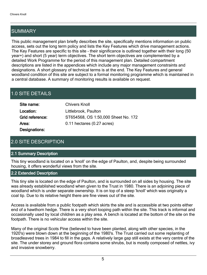## SUMMARY

This public management plan briefly describes the site, specifically mentions information on public access, sets out the long term policy and lists the Key Features which drive management actions. The Key Features are specific to this site - their significance is outlined together with their long (50 year+) and short (5 year) term objectives. The short term objectives are complemented by a detailed Work Programme for the period of this management plan. Detailed compartment descriptions are listed in the appendices which include any major management constraints and designations. A short glossary of technical terms is at the end. The Key Features and general woodland condition of this site are subject to a formal monitoring programme which is maintained in a central database. A summary of monitoring results is available on request.

## 1.0 SITE DETAILS

| Site name:      | <b>Chivers Knoll</b>                |
|-----------------|-------------------------------------|
| Location:       | Littlebrook, Paulton                |
| Grid reference: | ST654568, OS 1:50,000 Sheet No. 172 |
| Area:           | $0.11$ hectares $(0.27$ acres)      |
| Designations:   |                                     |

## 2.0 SITE DESCRIPTION

#### 2.1 Summary Description

This tiny woodland is located on a 'knoll' on the edge of Paulton, and, despite being surrounded housing, it offers wonderful views from the site.

#### 2.2 Extended Description

This tiny site is located on the edge of Paulton, and is surrounded on all sides by housing. The site was already established woodland when given to the Trust in 1980. There is an adjoining piece of woodland which is under separate ownership. It is on top of a steep 'knoll' which was originally a coal tip. Due to its relative height there are fine views out of the site.

Access is available from a public footpath which skirts the site and is accessible at two points either end of a hawthorn hedge. There is a very short looping path within the site. This track is informal and occasionally used by local children as a play area. A bench is located at the bottom of the site on the footpath. There is no vehicular access within the site.

Many of the original Scots Pine (believed to have been planted, along with other species, in the 1920's) were blown down at the beginning of the 1980's. The Trust carried out some replanting of broadleaved trees in 1984 to fill in the gaps. A relatively large gap still exists at the very centre of the site. The under storey and ground flora contains some shrubs, but is mostly composed of nettles, ivy and invasive snowberry.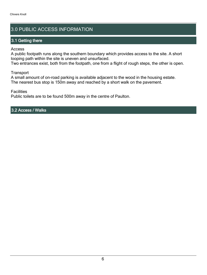## 3.0 PUBLIC ACCESS INFORMATION

#### 3.1 Getting there

Access

A public footpath runs along the southern boundary which provides access to the site. A short looping path within the site is uneven and unsurfaced.

Two entrances exist, both from the footpath, one from a flight of rough steps, the other is open.

**Transport** 

A small amount of on-road parking is available adjacent to the wood in the housing estate. The nearest bus stop is 150m away and reached by a short walk on the pavement.

**Facilities** 

Public toilets are to be found 500m away in the centre of Paulton.

3.2 Access / Walks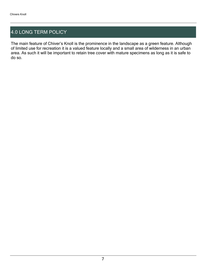## 4.0 LONG TERM POLICY

The main feature of Chiver's Knoll is the prominence in the landscape as a green feature. Although of limited use for recreation it is a valued feature locally and a small area of wilderness in an urban area. As such it will be important to retain tree cover with mature specimens as long as it is safe to do so.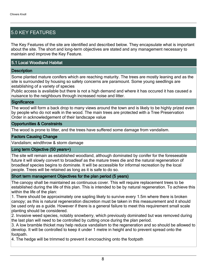## 5.0 KEY FEATURES

The Key Features of the site are identified and described below. They encapsulate what is important about the site. The short and long-term objectives are stated and any management necessary to maintain and improve the Key Feature.

#### 5.1 Local Woodland Habitat

#### **Description**

Some planted mature conifers which are reaching maturity. The trees are mostly leaning and as the site is surrounded by housing so safety concerns are paramount. Some young seedlings are establishing of a variety of species

Public access is available but there is not a high demand and where it has occured it has caused a nuisance to the neighbours through increased noise and litter.

#### **Significance**

The wood will form a back drop to many views around the town and is likely to be highly prized even by people who do not walk in the wood. The main trees are protected with a Tree Preservation Order in acknowledgement of their landscape value

#### Opportunities & Constraints

The wood is prone to litter, and the trees have suffered some damage from vandalism.

#### Factors Causing Change

Vandalism; windthrow & storm damage

#### Long term Objective (50 years+)

The site will remain as established woodland, although dominated by conifer for the foreseeable future it will slowly convert to broadleaf as the mature trees die and the natural regeneration of broadleaf species begins to dominate. It will be accessible for informal recreation by the local people. Trees will be retained as long as it is safe to do so.

#### Short term management Objectives for the plan period (5 years)

The canopy shall be maintained as continuous cover. This will require replacement trees to be established during the life of this plan. This is intended to be by natural regeneration. To achieve this within the life of the plan:

1. There should be approximately one sapling likely to survive every 1.5m where there is broken canopy; as this is natural regeneration discretion must be taken in this measurement and it should be used only as a guide. However if there is a general failure to meet this requirement small scale planting should be considered.

2. Invasive weed species, notably snowberry, which previously dominated but was removed during the last plan will need to be controlled by cutting once during the plan period.

3. A low bramble thicket may help reduce vandalism to the regeneration and so should be allowed to develop. It will be controlled to keep it under 1 metre in height and to prevent spread onto the footpath.

4. The hedge will be trimmed to prevent it encroaching onto the footpath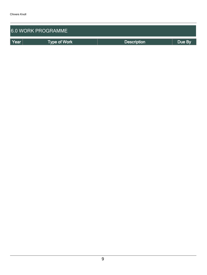| <b>6.0 WORK PROGRAMME</b> |              |                    |        |  |  |  |  |  |
|---------------------------|--------------|--------------------|--------|--|--|--|--|--|
| Year                      | Type of Work | <b>Description</b> | Due By |  |  |  |  |  |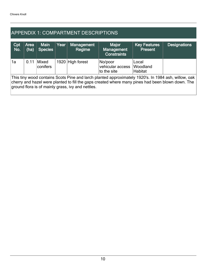## APPENDIX 1: COMPARTMENT DESCRIPTIONS

| Cpt<br>No.                                                                                                                                                                                                                                                   | Area<br>(ha) | <b>Main</b><br><b>Species</b> | Year | <b>Management</b><br>Regime | <b>Major</b><br>Management<br><b>Constraints</b> | <b>Key Features</b><br><b>Present</b> | <b>Designations</b> |  |
|--------------------------------------------------------------------------------------------------------------------------------------------------------------------------------------------------------------------------------------------------------------|--------------|-------------------------------|------|-----------------------------|--------------------------------------------------|---------------------------------------|---------------------|--|
| ∣1a                                                                                                                                                                                                                                                          | 0.11         | Mixed<br>conifers             |      | 1920 High forest            | No/poor<br>vehicular access<br>to the site       | Local<br>Woodland<br>Habitat          |                     |  |
| This tiny wood contains Scots Pine and larch planted approximately 1920's. In 1984 ash, willow, oak<br>cherry and hazel were planted to fill the gaps created where many pines had been blown down. The<br>ground flora is of mainly grass, ivy and nettles. |              |                               |      |                             |                                                  |                                       |                     |  |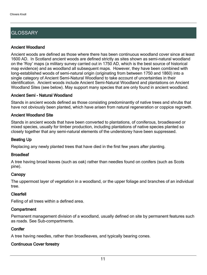## **GLOSSARY**

#### Ancient Woodland

Ancient woods are defined as those where there has been continuous woodland cover since at least 1600 AD. In Scotland ancient woods are defined strictly as sites shown as semi-natural woodland on the 'Roy' maps (a military survey carried out in 1750 AD, which is the best source of historical map evidence) and as woodland all subsequent maps. However, they have been combined with long-established woods of semi-natural origin (originating from between 1750 and 1860) into a single category of Ancient Semi-Natural Woodland to take account of uncertainties in their identification. Ancient woods include Ancient Semi-Natural Woodland and plantations on Ancient Woodland Sites (see below). May support many species that are only found in ancient woodland.

#### Ancient Semi - Natural Woodland

Stands in ancient woods defined as those consisting predominantly of native trees and shrubs that have not obviously been planted, which have arisen from natural regeneration or coppice regrowth.

#### Ancient Woodland Site

Stands in ancient woods that have been converted to plantations, of coniferous, broadleaved or mixed species, usually for timber production, including plantations of native species planted so closely together that any semi-natural elements of the understorey have been suppressed.

#### Beating Up

Replacing any newly planted trees that have died in the first few years after planting.

#### **Broadleaf**

A tree having broad leaves (such as oak) rather than needles found on conifers (such as Scots pine).

#### **Canopy**

The uppermost layer of vegetation in a woodland, or the upper foliage and branches of an individual tree.

#### Clearfell

Felling of all trees within a defined area.

#### **Compartment**

Permanent management division of a woodland, usually defined on site by permanent features such as roads. See Sub-compartments.

#### **Conifer**

A tree having needles, rather than broadleaves, and typically bearing cones.

### Continuous Cover forestry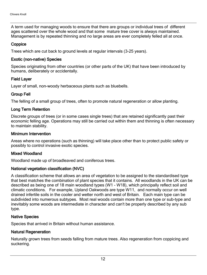A term used for managing woods to ensure that there are groups or individual trees of different ages scattered over the whole wood and that some mature tree cover is always maintained. Management is by repeated thinning and no large areas are ever completely felled all at once.

#### **Coppice**

Trees which are cut back to ground levels at regular intervals (3-25 years).

#### Exotic (non-native) Species

Species originating from other countries (or other parts of the UK) that have been introduced by humans, deliberately or accidentally.

#### Field Layer

Layer of small, non-woody herbaceous plants such as bluebells.

#### Group Fell

The felling of a small group of trees, often to promote natural regeneration or allow planting.

#### Long Term Retention

Discrete groups of trees (or in some cases single trees) that are retained significantly past their economic felling age. Operations may still be carried out within them and thinning is often necessary to maintain stability.

#### Minimum Intervention

Areas where no operations (such as thinning) will take place other than to protect public safety or possibly to control invasive exotic species.

#### Mixed Woodland

Woodland made up of broadleaved and coniferous trees.

#### National vegetation classification (NVC)

A classification scheme that allows an area of vegetation to be assigned to the standardised type that best matches the combination of plant species that it contains. All woodlands in the UK can be described as being one of 18 main woodland types (W1 - W18), which principally reflect soil and climatic conditions. For example, Upland Oakwoods are type W11, and normally occur on well drained infertile soils in the cooler and wetter north and west of Britain. Each main type can be subdivided into numerous subtypes. Most real woods contain more than one type or sub-type and inevitably some woods are intermediate in character and can't be properly described by any sub type.

#### Native Species

Species that arrived in Britain without human assistance.

#### Natural Regeneration

Naturally grown trees from seeds falling from mature trees. Also regeneration from coppicing and suckering.